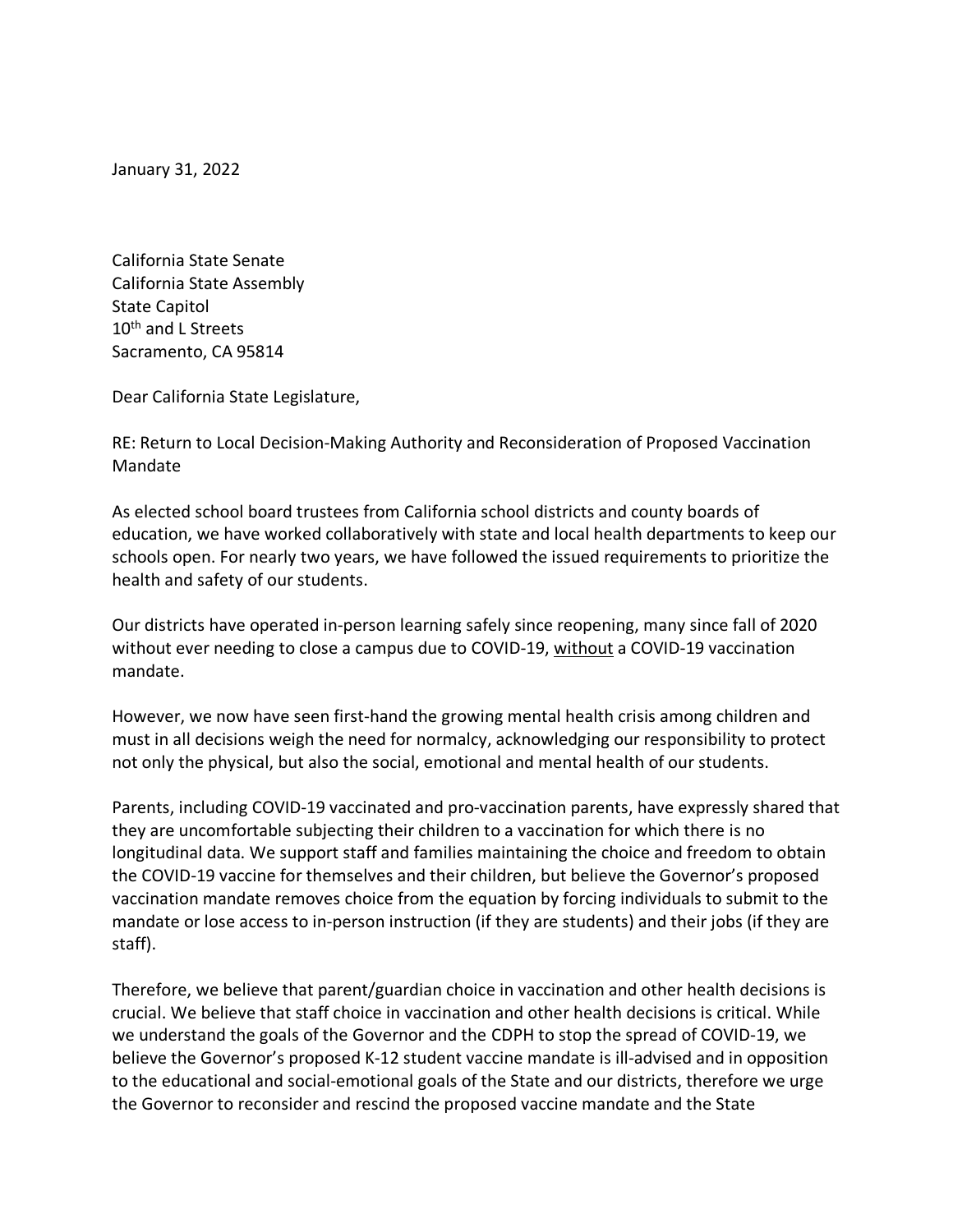January 31, 2022

California State Senate California State Assembly State Capitol 10<sup>th</sup> and L Streets Sacramento, CA 95814

Dear California State Legislature,

RE: Return to Local Decision-Making Authority and Reconsideration of Proposed Vaccination Mandate

As elected school board trustees from California school districts and county boards of education, we have worked collaboratively with state and local health departments to keep our schools open. For nearly two years, we have followed the issued requirements to prioritize the health and safety of our students.

Our districts have operated in-person learning safely since reopening, many since fall of 2020 without ever needing to close a campus due to COVID-19, without a COVID-19 vaccination mandate.

However, we now have seen first-hand the growing mental health crisis among children and must in all decisions weigh the need for normalcy, acknowledging our responsibility to protect not only the physical, but also the social, emotional and mental health of our students.

Parents, including COVID-19 vaccinated and pro-vaccination parents, have expressly shared that they are uncomfortable subjecting their children to a vaccination for which there is no longitudinal data. We support staff and families maintaining the choice and freedom to obtain the COVID-19 vaccine for themselves and their children, but believe the Governor's proposed vaccination mandate removes choice from the equation by forcing individuals to submit to the mandate or lose access to in-person instruction (if they are students) and their jobs (if they are staff).

Therefore, we believe that parent/guardian choice in vaccination and other health decisions is crucial. We believe that staff choice in vaccination and other health decisions is critical. While we understand the goals of the Governor and the CDPH to stop the spread of COVID-19, we believe the Governor's proposed K-12 student vaccine mandate is ill-advised and in opposition to the educational and social-emotional goals of the State and our districts, therefore we urge the Governor to reconsider and rescind the proposed vaccine mandate and the State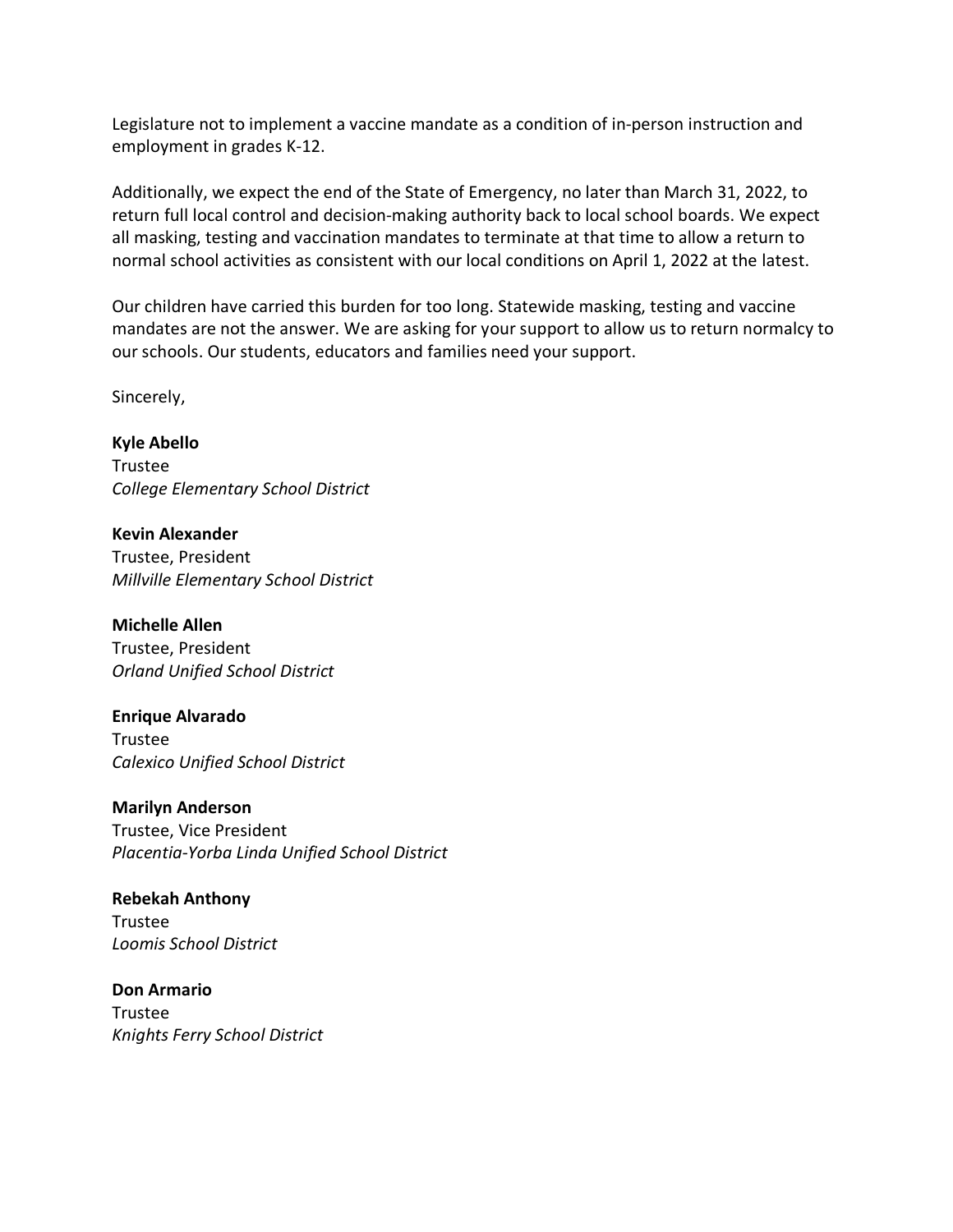Legislature not to implement a vaccine mandate as a condition of in-person instruction and employment in grades K-12.

Additionally, we expect the end of the State of Emergency, no later than March 31, 2022, to return full local control and decision-making authority back to local school boards. We expect all masking, testing and vaccination mandates to terminate at that time to allow a return to normal school activities as consistent with our local conditions on April 1, 2022 at the latest.

Our children have carried this burden for too long. Statewide masking, testing and vaccine mandates are not the answer. We are asking for your support to allow us to return normalcy to our schools. Our students, educators and families need your support.

Sincerely,

**Kyle Abello** Trustee *College Elementary School District*

**Kevin Alexander** Trustee, President *Millville Elementary School District*

**Michelle Allen** Trustee, President *Orland Unified School District*

**Enrique Alvarado** Trustee *Calexico Unified School District*

**Marilyn Anderson** Trustee, Vice President *Placentia-Yorba Linda Unified School District*

**Rebekah Anthony** Trustee *Loomis School District*

**Don Armario** Trustee *Knights Ferry School District*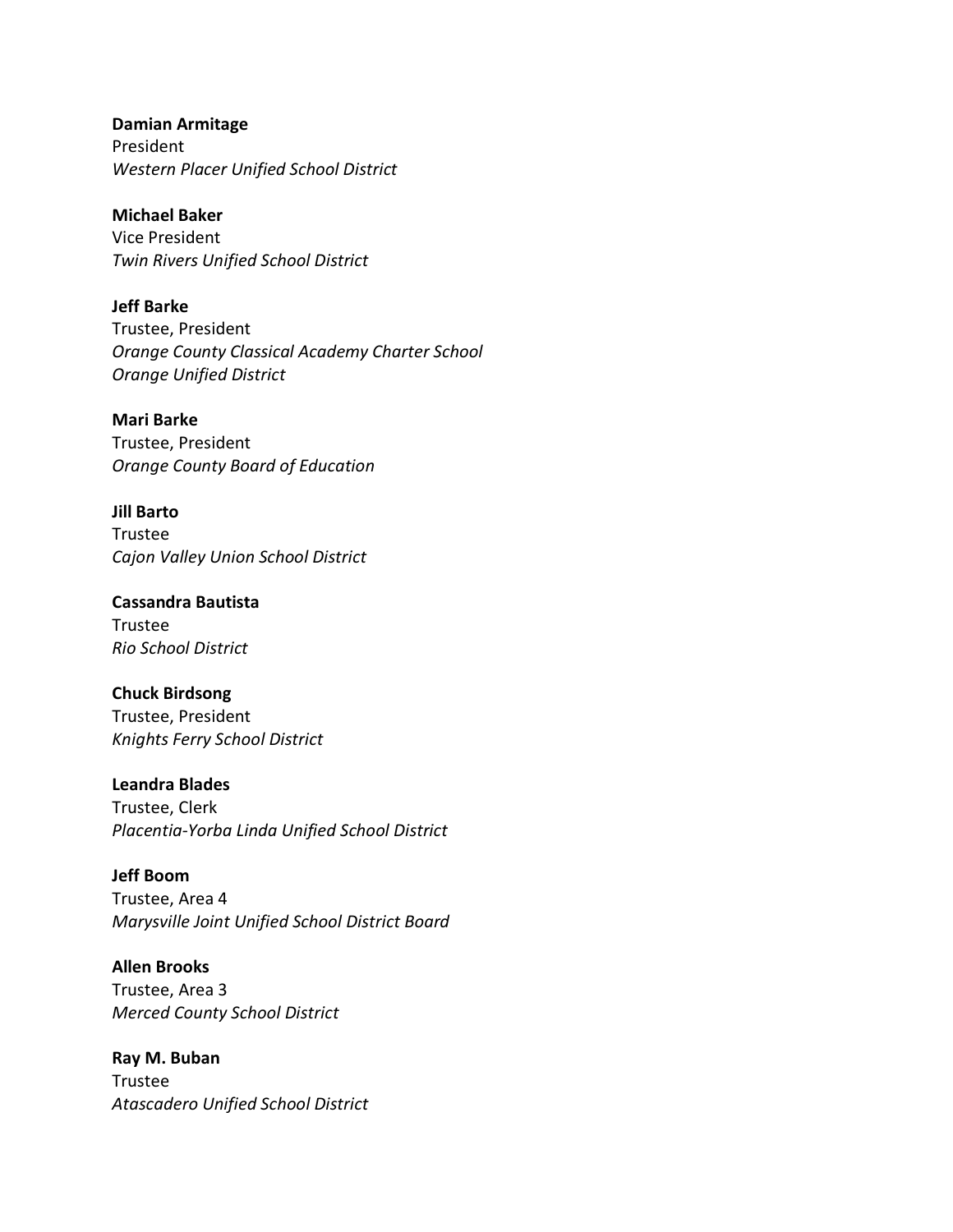**Damian Armitage** President *Western Placer Unified School District*

**Michael Baker** Vice President *Twin Rivers Unified School District*

**Jeff Barke** Trustee, President *Orange County Classical Academy Charter School Orange Unified District*

**Mari Barke** Trustee, President *Orange County Board of Education*

**Jill Barto** Trustee *Cajon Valley Union School District*

**Cassandra Bautista** Trustee *Rio School District*

**Chuck Birdsong** Trustee, President *Knights Ferry School District*

**Leandra Blades** Trustee, Clerk *Placentia-Yorba Linda Unified School District*

**Jeff Boom** Trustee, Area 4 *Marysville Joint Unified School District Board*

**Allen Brooks** Trustee, Area 3 *Merced County School District*

**Ray M. Buban** Trustee *Atascadero Unified School District*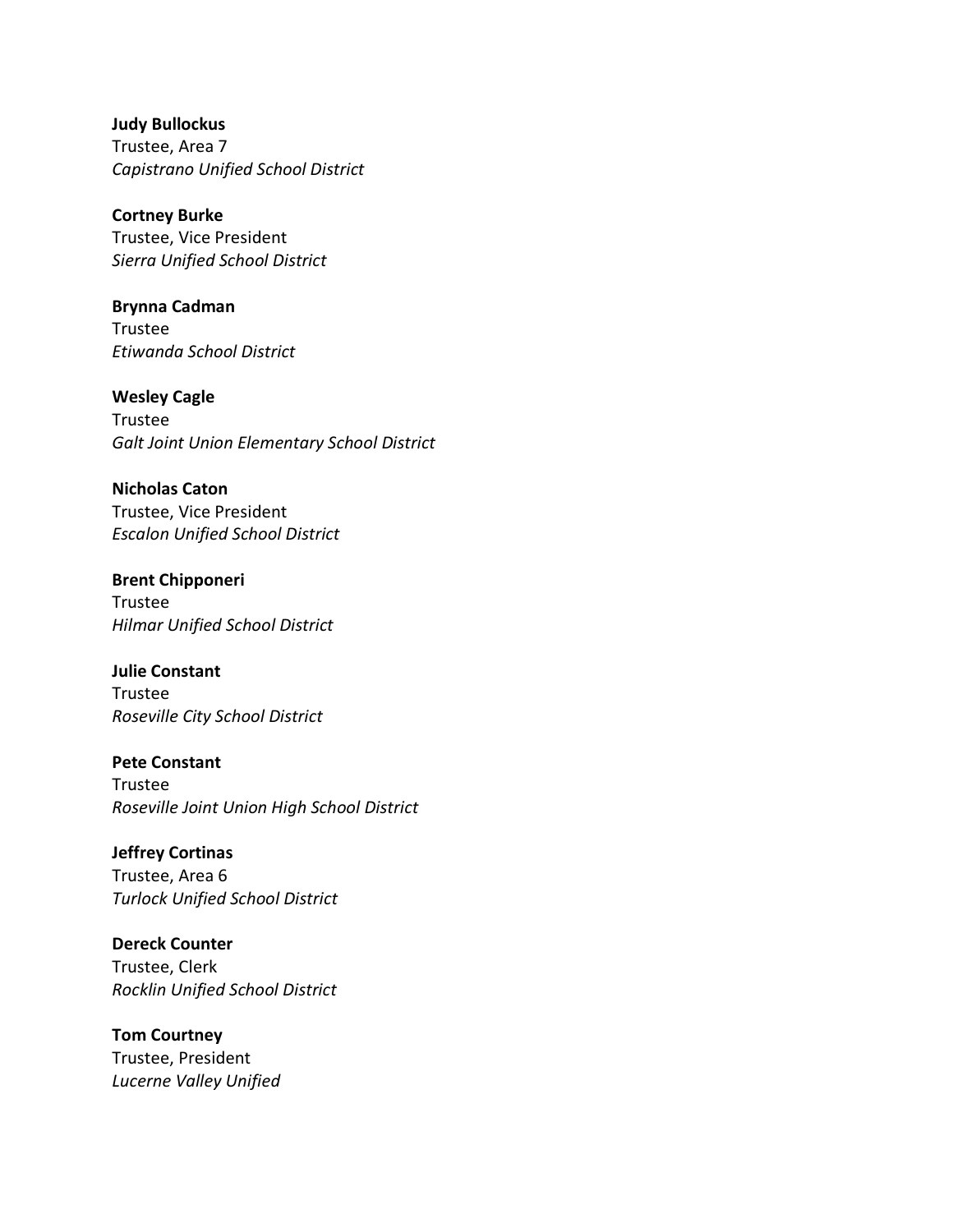**Judy Bullockus** Trustee, Area 7 *Capistrano Unified School District* 

**Cortney Burke** Trustee, Vice President *Sierra Unified School District* 

**Brynna Cadman** Trustee *Etiwanda School District* 

**Wesley Cagle** Trustee *Galt Joint Union Elementary School District* 

**Nicholas Caton** Trustee, Vice President *Escalon Unified School District* 

**Brent Chipponeri** Trustee *Hilmar Unified School District* 

**Julie Constant** Trustee *Roseville City School District* 

**Pete Constant** Trustee *Roseville Joint Union High School District*

**Jeffrey Cortinas** Trustee, Area 6 *Turlock Unified School District* 

**Dereck Counter** Trustee, Clerk *Rocklin Unified School District* 

**Tom Courtney** Trustee, President *Lucerne Valley Unified*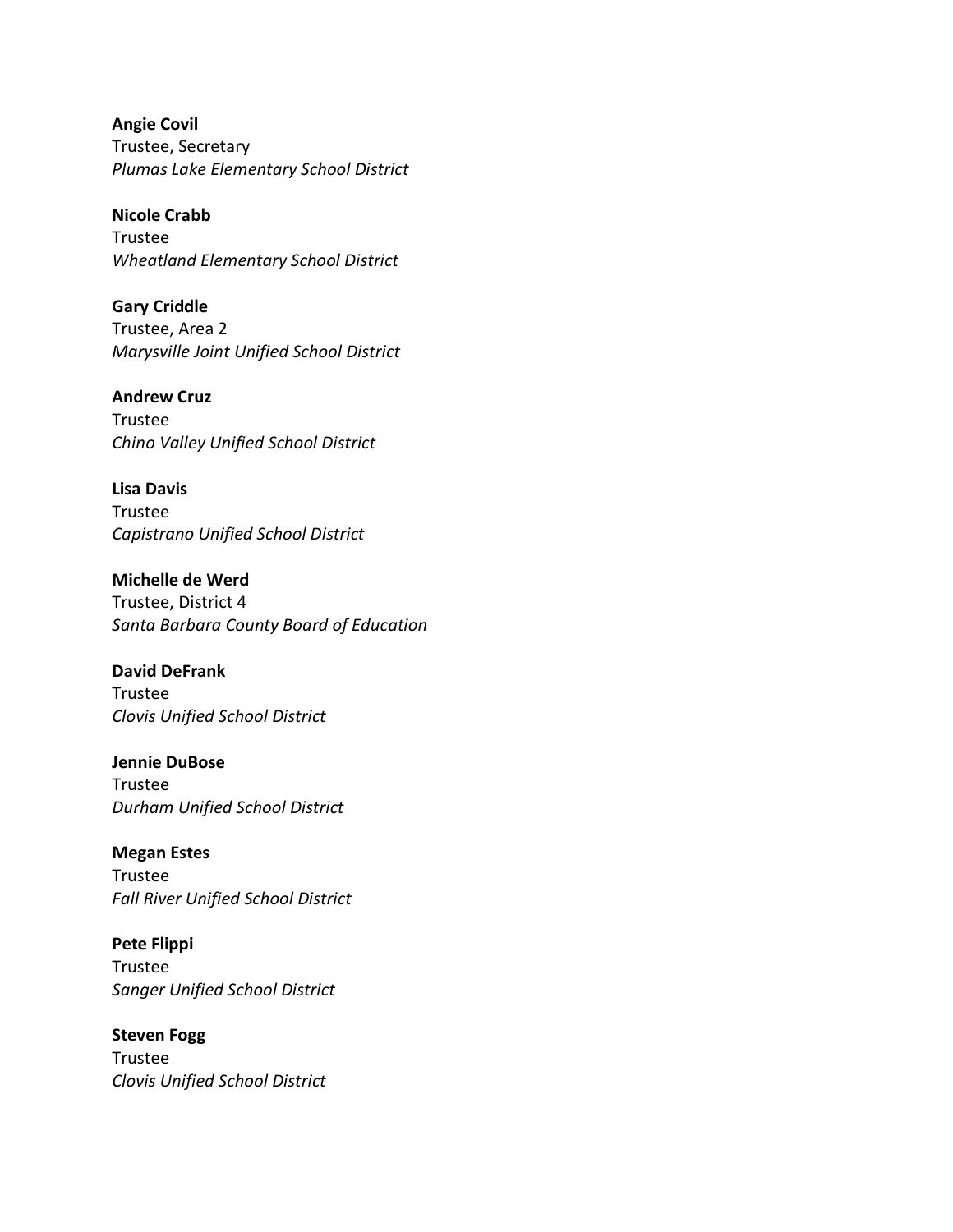**Angie Covil** Trustee, Secretary *Plumas Lake Elementary School District* 

**Nicole Crabb** Trustee *Wheatland Elementary School District* 

**Gary Criddle** Trustee, Area 2 *Marysville Joint Unified School District*

**Andrew Cruz** Trustee *Chino Valley Unified School District*

**Lisa Davis** Trustee *Capistrano Unified School District*

**Michelle de Werd** Trustee, District 4 *Santa Barbara County Board of Education*

**David DeFrank** Trustee *Clovis Unified School District* 

**Jennie DuBose** Trustee *Durham Unified School District* 

**Megan Estes** Trustee *Fall River Unified School District* 

**Pete Flippi** Trustee *Sanger Unified School District* 

**Steven Fogg** Trustee *Clovis Unified School District*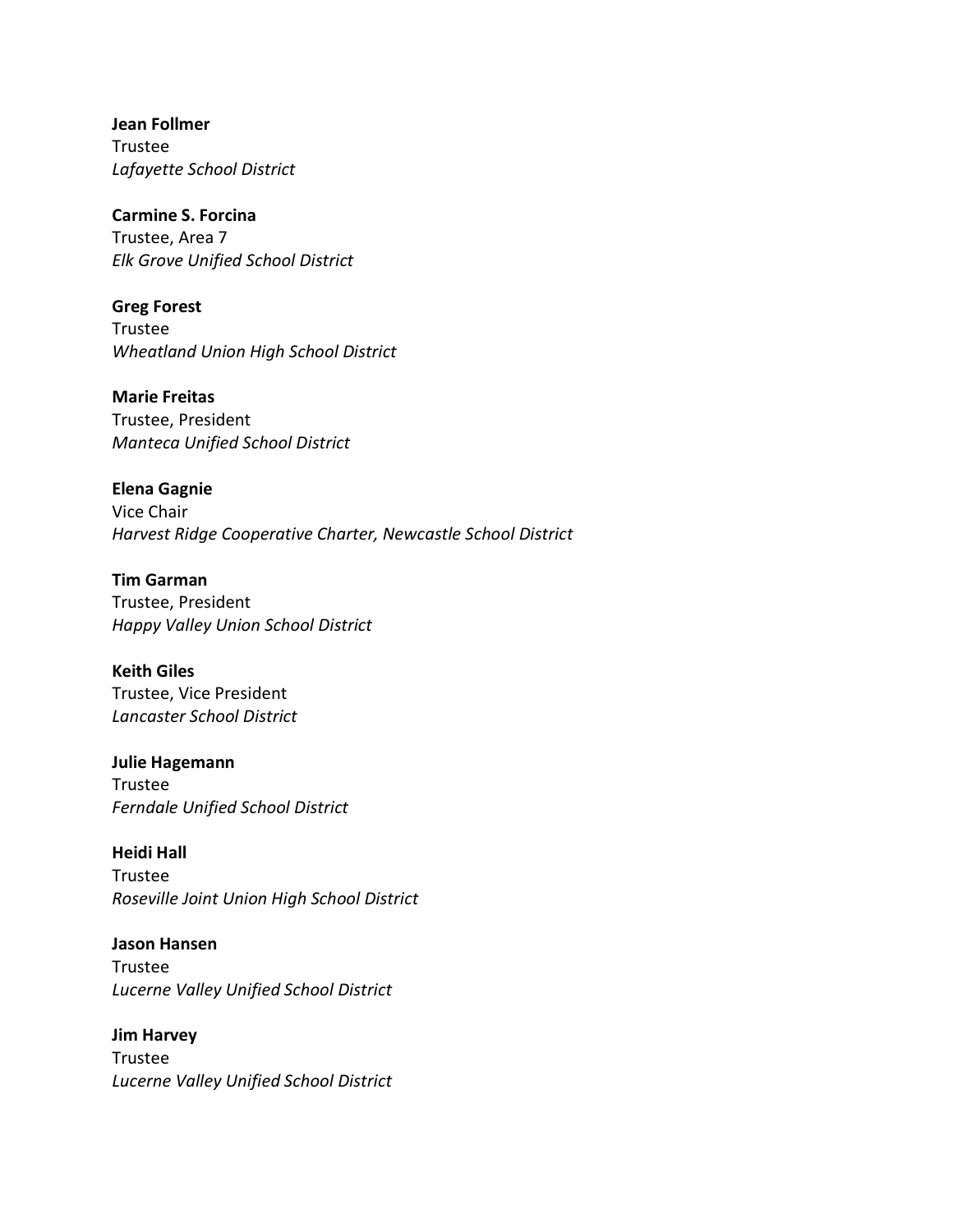**Jean Follmer** Trustee *Lafayette School District* 

**Carmine S. Forcina** Trustee, Area 7 *Elk Grove Unified School District* 

**Greg Forest** Trustee *Wheatland Union High School District* 

**Marie Freitas** Trustee, President *Manteca Unified School District* 

**Elena Gagnie** Vice Chair *Harvest Ridge Cooperative Charter, Newcastle School District*

**Tim Garman** Trustee, President *Happy Valley Union School District*

**Keith Giles** Trustee, Vice President *Lancaster School District*

**Julie Hagemann** Trustee *Ferndale Unified School District*

**Heidi Hall** Trustee *Roseville Joint Union High School District*

**Jason Hansen** Trustee *Lucerne Valley Unified School District*

**Jim Harvey** Trustee *Lucerne Valley Unified School District*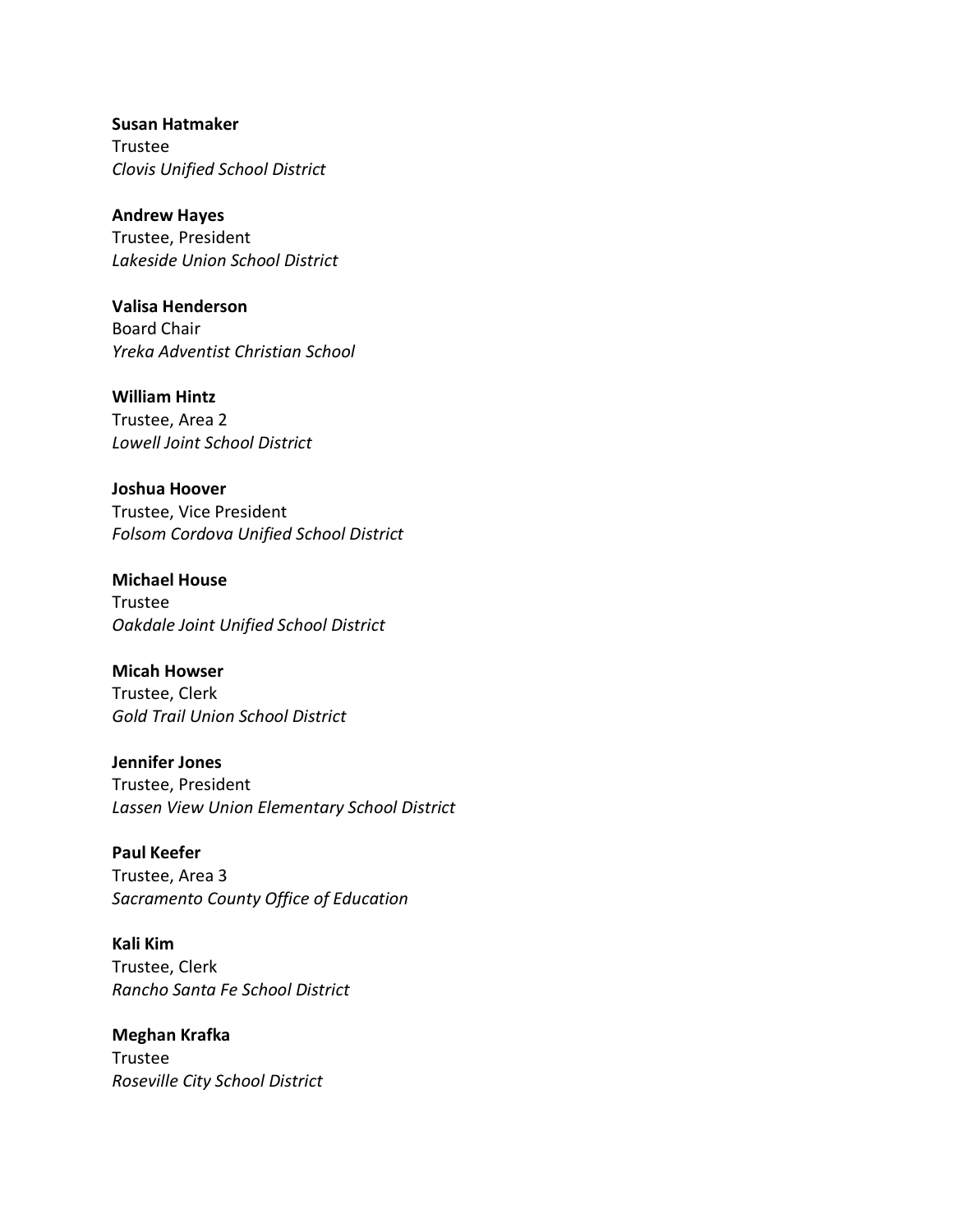**Susan Hatmaker** Trustee *Clovis Unified School District*

**Andrew Hayes** Trustee, President *Lakeside Union School District*

**Valisa Henderson** Board Chair *Yreka Adventist Christian School* 

**William Hintz** Trustee, Area 2 *Lowell Joint School District* 

**Joshua Hoover** Trustee, Vice President *Folsom Cordova Unified School District* 

**Michael House** Trustee *Oakdale Joint Unified School District* 

**Micah Howser** Trustee, Clerk *Gold Trail Union School District* 

**Jennifer Jones** Trustee, President *Lassen View Union Elementary School District* 

**Paul Keefer** Trustee, Area 3 *Sacramento County Office of Education*

**Kali Kim** Trustee, Clerk *Rancho Santa Fe School District* 

**Meghan Krafka** Trustee *Roseville City School District*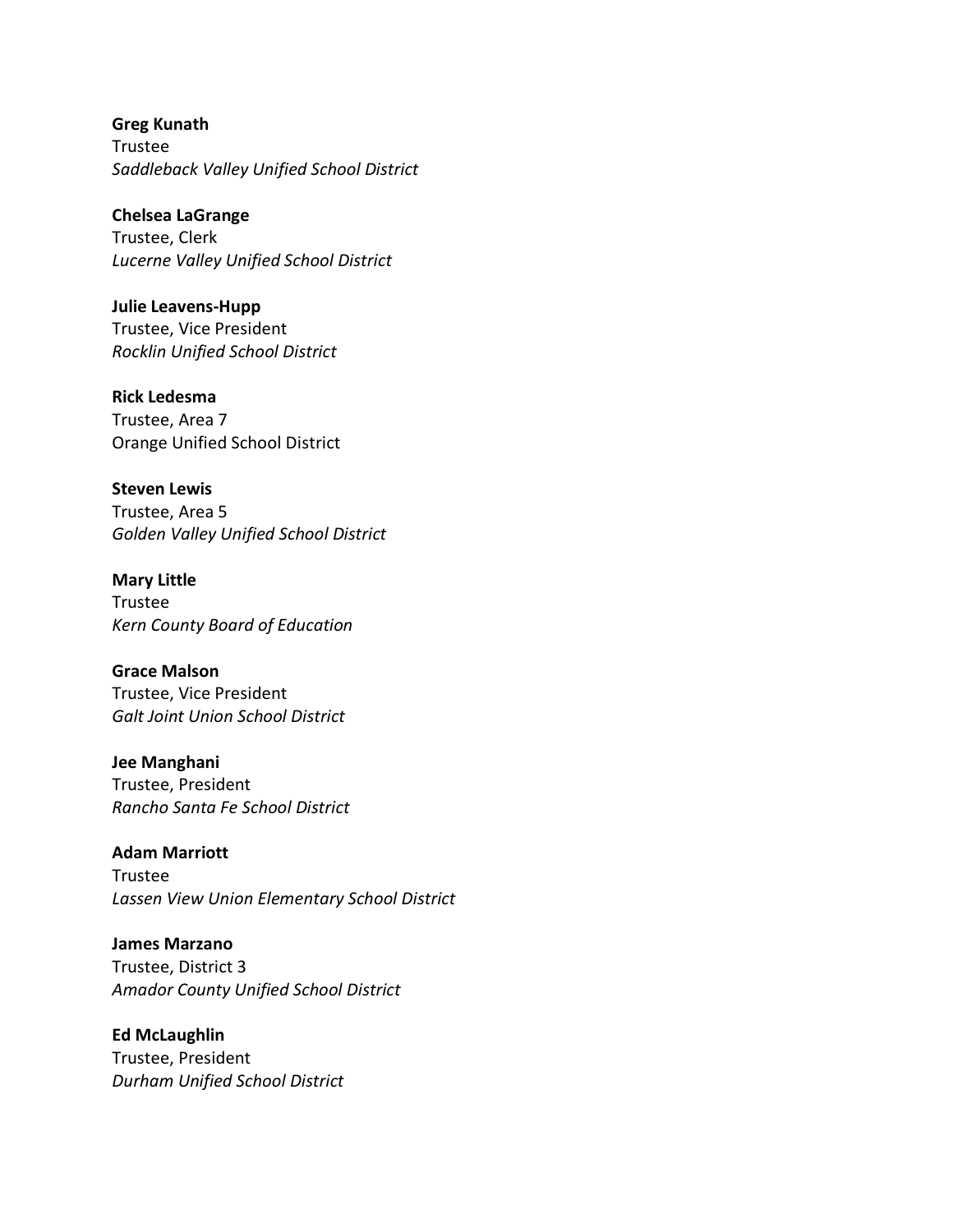**Greg Kunath** Trustee *Saddleback Valley Unified School District*

**Chelsea LaGrange** Trustee, Clerk *Lucerne Valley Unified School District* 

**Julie Leavens-Hupp** Trustee, Vice President *Rocklin Unified School District*

**Rick Ledesma** Trustee, Area 7 Orange Unified School District

**Steven Lewis** Trustee, Area 5 *Golden Valley Unified School District* 

**Mary Little** Trustee *Kern County Board of Education* 

**Grace Malson** Trustee, Vice President *Galt Joint Union School District* 

**Jee Manghani** Trustee, President *Rancho Santa Fe School District* 

**Adam Marriott** Trustee *Lassen View Union Elementary School District* 

**James Marzano** Trustee, District 3 *Amador County Unified School District* 

**Ed McLaughlin** Trustee, President *Durham Unified School District*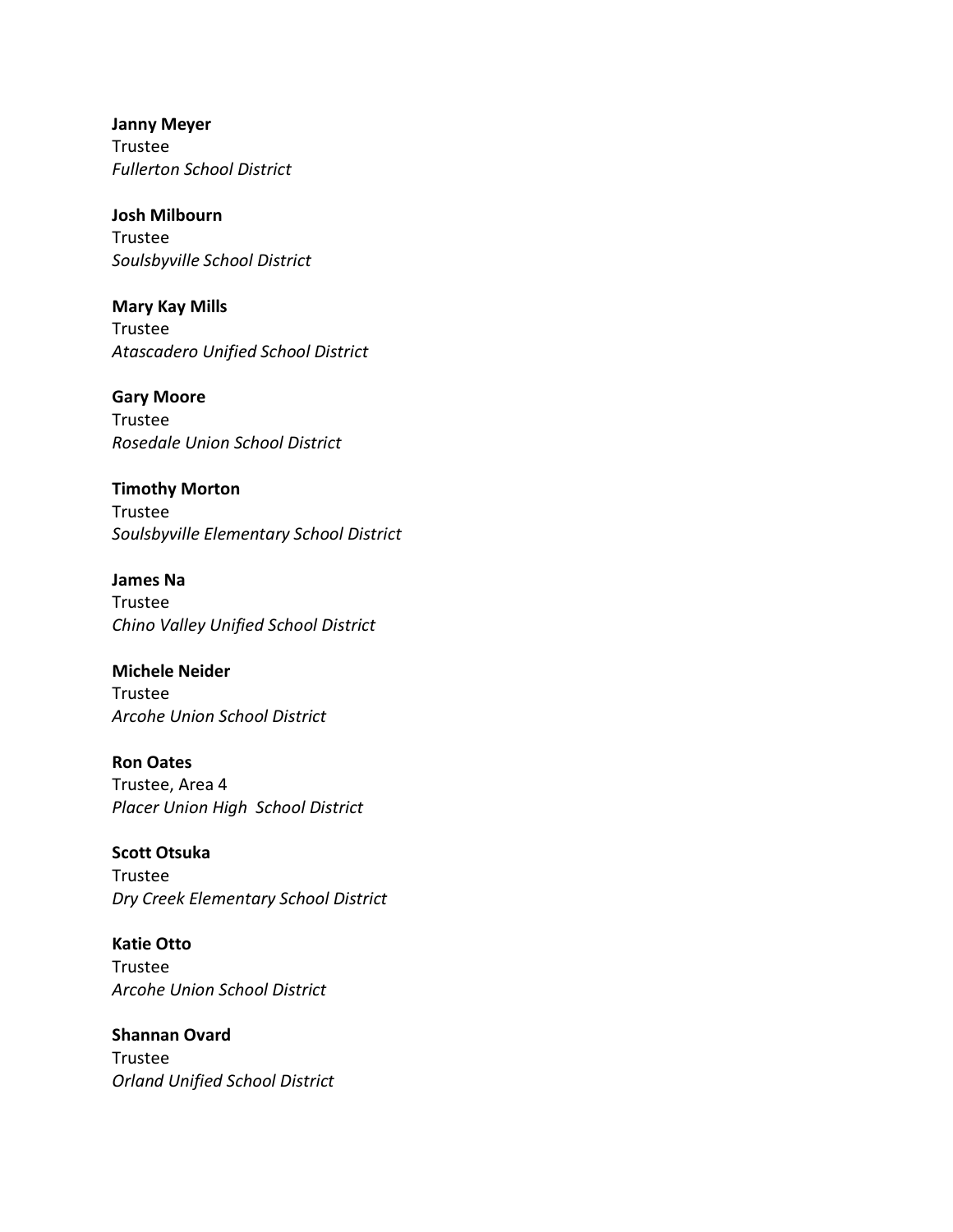**Janny Meyer** Trustee *Fullerton School District* 

**Josh Milbourn** Trustee *Soulsbyville School District* 

**Mary Kay Mills** Trustee *Atascadero Unified School District* 

**Gary Moore** Trustee *Rosedale Union School District* 

**Timothy Morton** Trustee *Soulsbyville Elementary School District* 

**James Na** Trustee *Chino Valley Unified School District*

**Michele Neider** Trustee *Arcohe Union School District* 

**Ron Oates** Trustee, Area 4 *Placer Union High School District* 

**Scott Otsuka** Trustee *Dry Creek Elementary School District*

**Katie Otto** Trustee *Arcohe Union School District*

**Shannan Ovard** Trustee *Orland Unified School District*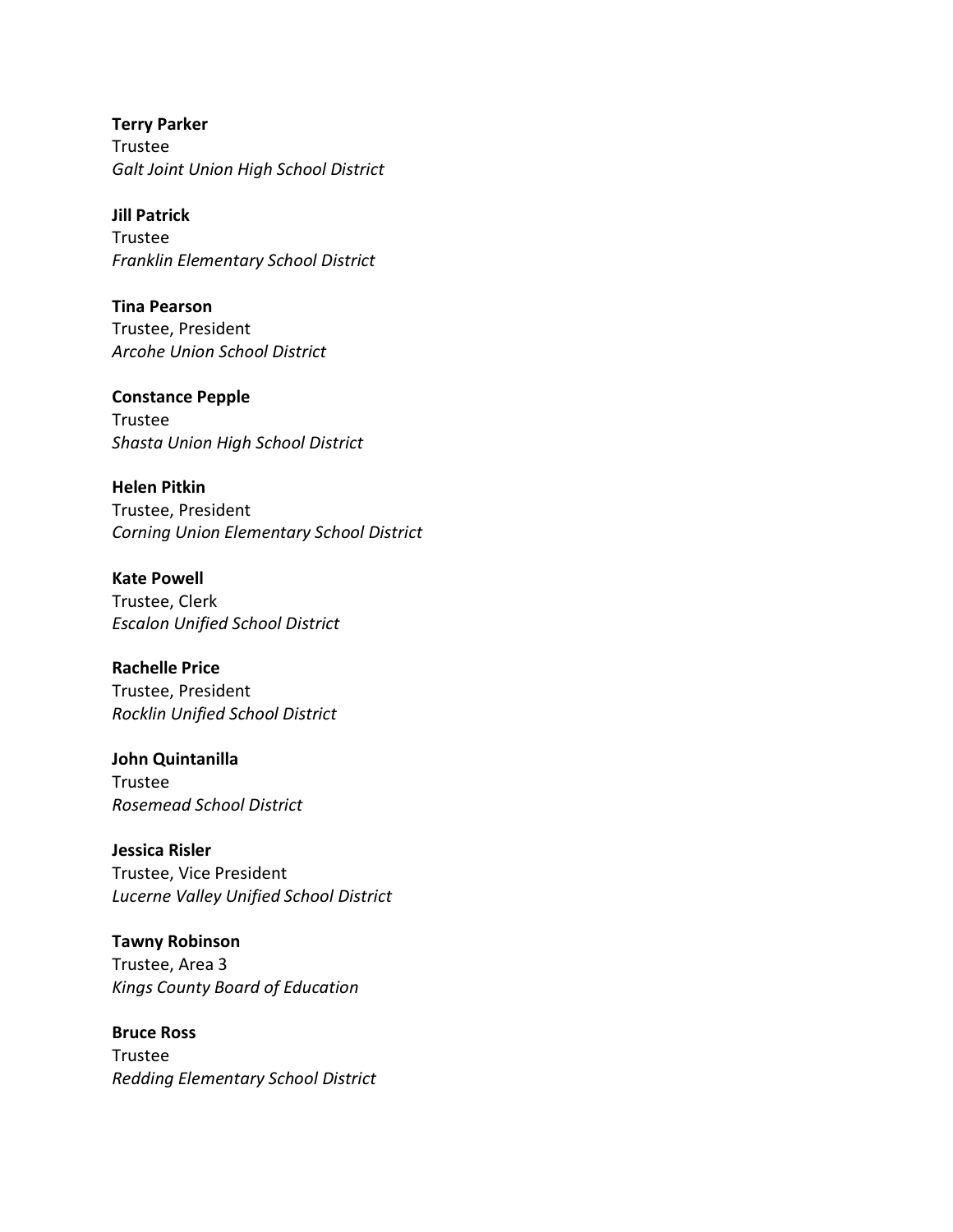**Terry Parker** Trustee *Galt Joint Union High School District* 

**Jill Patrick** Trustee *Franklin Elementary School District* 

**Tina Pearson** Trustee, President *Arcohe Union School District* 

**Constance Pepple** Trustee *Shasta Union High School District* 

**Helen Pitkin** Trustee, President *Corning Union Elementary School District* 

**Kate Powell** Trustee, Clerk *Escalon Unified School District* 

**Rachelle Price** Trustee, President *Rocklin Unified School District* 

**John Quintanilla** Trustee *Rosemead School District*

**Jessica Risler** Trustee, Vice President *Lucerne Valley Unified School District*

**Tawny Robinson** Trustee, Area 3 *Kings County Board of Education* 

**Bruce Ross** Trustee *Redding Elementary School District*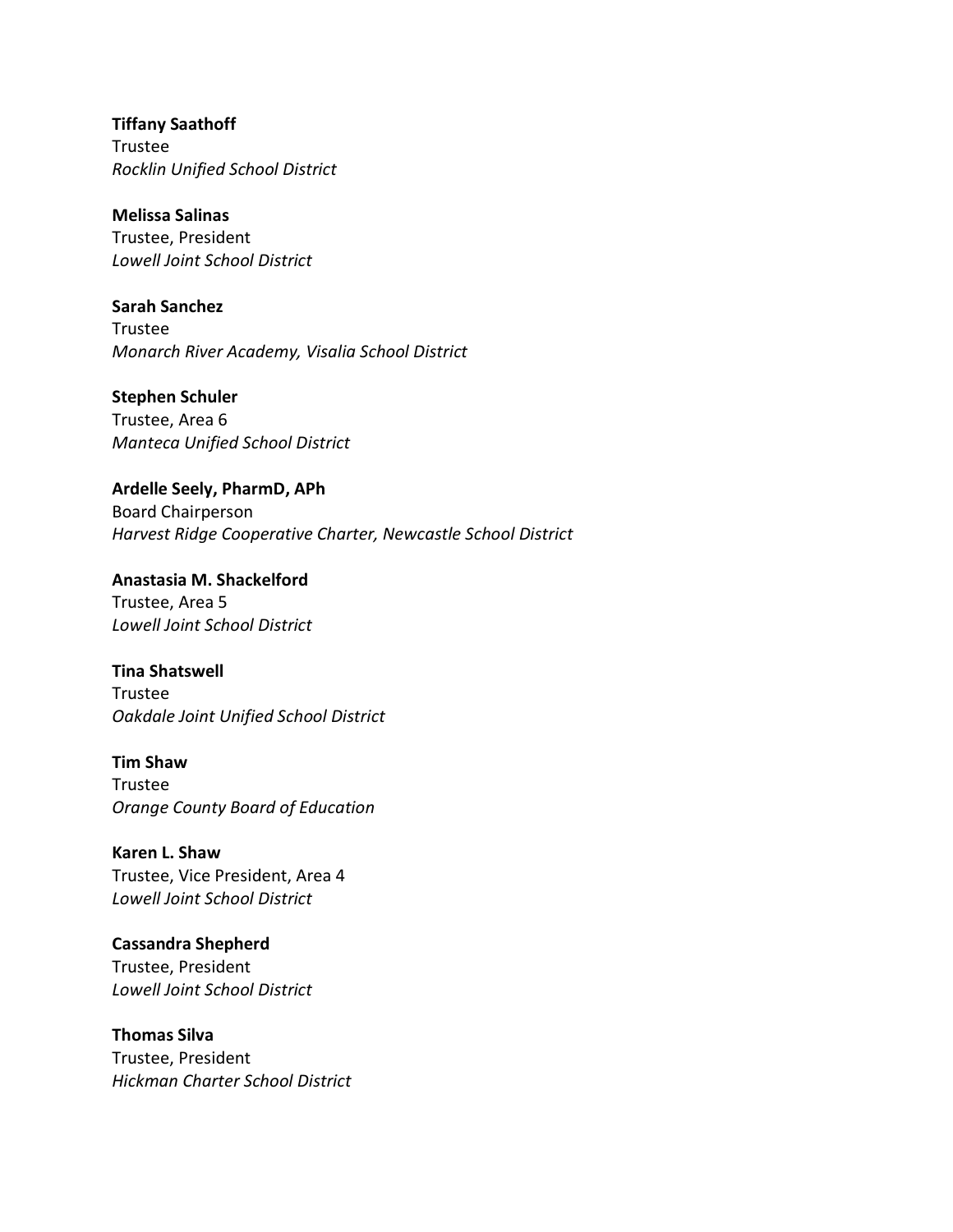**Tiffany Saathoff** Trustee *Rocklin Unified School District*

**Melissa Salinas** Trustee, President *Lowell Joint School District* 

**Sarah Sanchez** Trustee *Monarch River Academy, Visalia School District* 

**Stephen Schuler** Trustee, Area 6 *Manteca Unified School District* 

**Ardelle Seely, PharmD, APh** Board Chairperson *Harvest Ridge Cooperative Charter, Newcastle School District*

**Anastasia M. Shackelford** Trustee, Area 5 *Lowell Joint School District* 

**Tina Shatswell** Trustee *Oakdale Joint Unified School District* 

**Tim Shaw** Trustee *Orange County Board of Education*

**Karen L. Shaw** Trustee, Vice President, Area 4 *Lowell Joint School District* 

**Cassandra Shepherd** Trustee, President *Lowell Joint School District* 

**Thomas Silva** Trustee, President *Hickman Charter School District*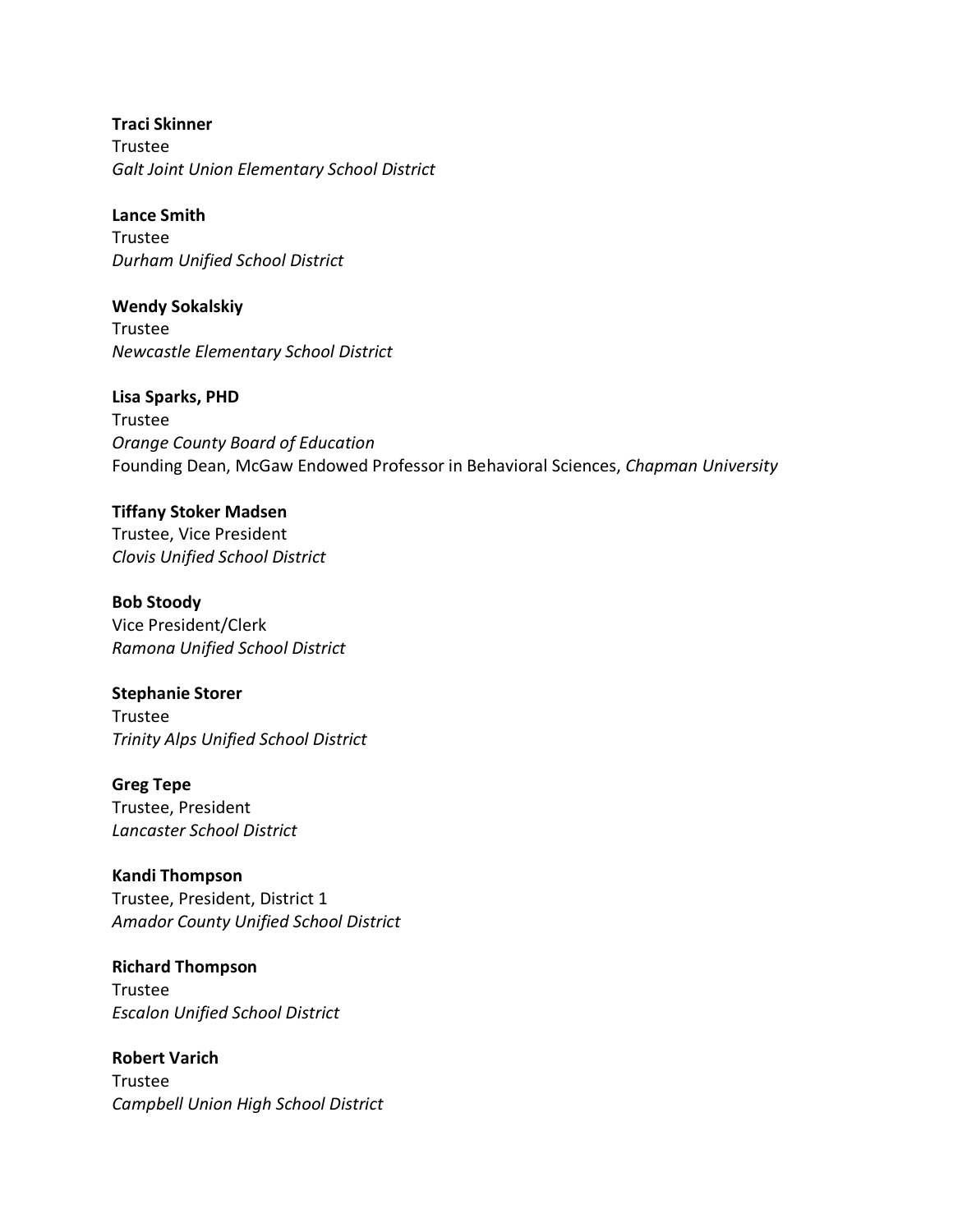**Traci Skinner** Trustee *Galt Joint Union Elementary School District* 

**Lance Smith** Trustee *Durham Unified School District* 

**Wendy Sokalskiy** Trustee *Newcastle Elementary School District*

**Lisa Sparks, PHD** Trustee *Orange County Board of Education*  Founding Dean, McGaw Endowed Professor in Behavioral Sciences, *Chapman University*

**Tiffany Stoker Madsen** Trustee, Vice President *Clovis Unified School District* 

**Bob Stoody** Vice President/Clerk *Ramona Unified School District*

**Stephanie Storer** Trustee *Trinity Alps Unified School District* 

**Greg Tepe** Trustee, President *Lancaster School District* 

**Kandi Thompson** Trustee, President, District 1 *Amador County Unified School District* 

**Richard Thompson** Trustee *Escalon Unified School District* 

**Robert Varich** Trustee *Campbell Union High School District*